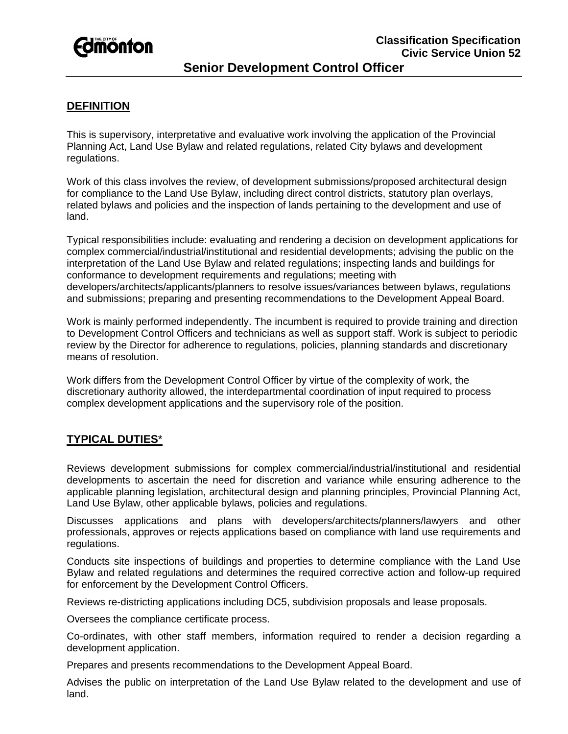

# **Senior Development Control Officer**

## **DEFINITION**

This is supervisory, interpretative and evaluative work involving the application of the Provincial Planning Act, Land Use Bylaw and related regulations, related City bylaws and development regulations.

Work of this class involves the review, of development submissions/proposed architectural design for compliance to the Land Use Bylaw, including direct control districts, statutory plan overlays, related bylaws and policies and the inspection of lands pertaining to the development and use of land.

Typical responsibilities include: evaluating and rendering a decision on development applications for complex commercial/industrial/institutional and residential developments; advising the public on the interpretation of the Land Use Bylaw and related regulations; inspecting lands and buildings for conformance to development requirements and regulations; meeting with developers/architects/applicants/planners to resolve issues/variances between bylaws, regulations and submissions; preparing and presenting recommendations to the Development Appeal Board.

Work is mainly performed independently. The incumbent is required to provide training and direction to Development Control Officers and technicians as well as support staff. Work is subject to periodic review by the Director for adherence to regulations, policies, planning standards and discretionary means of resolution.

Work differs from the Development Control Officer by virtue of the complexity of work, the discretionary authority allowed, the interdepartmental coordination of input required to process complex development applications and the supervisory role of the position.

### **TYPICAL DUTIES**\*

Reviews development submissions for complex commercial/industrial/institutional and residential developments to ascertain the need for discretion and variance while ensuring adherence to the applicable planning legislation, architectural design and planning principles, Provincial Planning Act, Land Use Bylaw, other applicable bylaws, policies and regulations.

Discusses applications and plans with developers/architects/planners/lawyers and other professionals, approves or rejects applications based on compliance with land use requirements and regulations.

Conducts site inspections of buildings and properties to determine compliance with the Land Use Bylaw and related regulations and determines the required corrective action and follow-up required for enforcement by the Development Control Officers.

Reviews re-districting applications including DC5, subdivision proposals and lease proposals.

Oversees the compliance certificate process.

Co-ordinates, with other staff members, information required to render a decision regarding a development application.

Prepares and presents recommendations to the Development Appeal Board.

Advises the public on interpretation of the Land Use Bylaw related to the development and use of land.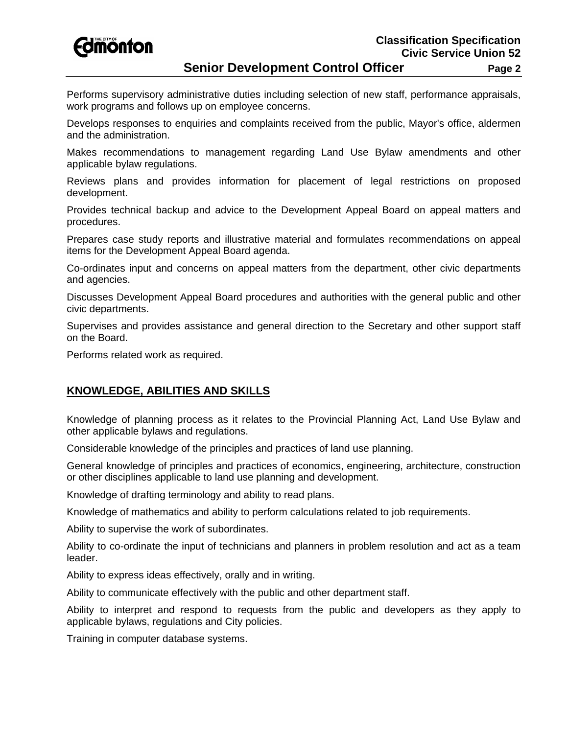*<u>Edmonton</u>* 

Performs supervisory administrative duties including selection of new staff, performance appraisals, work programs and follows up on employee concerns.

Develops responses to enquiries and complaints received from the public, Mayor's office, aldermen and the administration.

Makes recommendations to management regarding Land Use Bylaw amendments and other applicable bylaw regulations.

Reviews plans and provides information for placement of legal restrictions on proposed development.

Provides technical backup and advice to the Development Appeal Board on appeal matters and procedures.

Prepares case study reports and illustrative material and formulates recommendations on appeal items for the Development Appeal Board agenda.

Co-ordinates input and concerns on appeal matters from the department, other civic departments and agencies.

Discusses Development Appeal Board procedures and authorities with the general public and other civic departments.

Supervises and provides assistance and general direction to the Secretary and other support staff on the Board.

Performs related work as required.

### **KNOWLEDGE, ABILITIES AND SKILLS**

Knowledge of planning process as it relates to the Provincial Planning Act, Land Use Bylaw and other applicable bylaws and regulations.

Considerable knowledge of the principles and practices of land use planning.

General knowledge of principles and practices of economics, engineering, architecture, construction or other disciplines applicable to land use planning and development.

Knowledge of drafting terminology and ability to read plans.

Knowledge of mathematics and ability to perform calculations related to job requirements.

Ability to supervise the work of subordinates.

Ability to co-ordinate the input of technicians and planners in problem resolution and act as a team leader.

Ability to express ideas effectively, orally and in writing.

Ability to communicate effectively with the public and other department staff.

Ability to interpret and respond to requests from the public and developers as they apply to applicable bylaws, regulations and City policies.

Training in computer database systems.